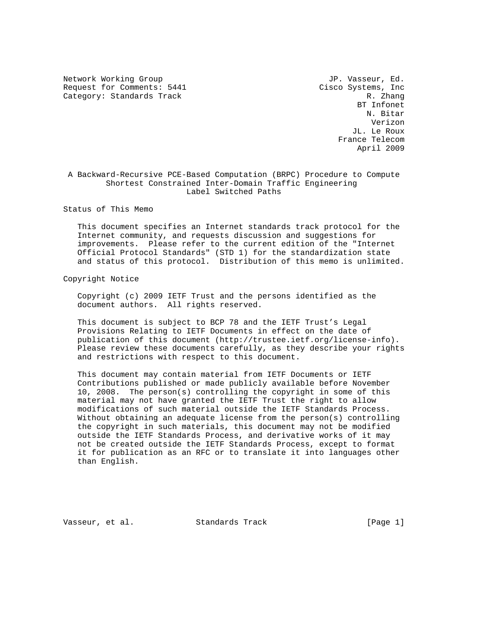Network Working Group and Month of the U.S. of the U.S. of the U.S. of the U.S. of the U.S. of the U.S. of the U.S. of the U.S. of the U.S. of the U.S. of the U.S. of the U.S. of the U.S. of the U.S. of the U.S. of the U.S Request for Comments: 5441 Cisco Systems, Inc<br>Category: Standards Track R. Zhang Category: Standards Track

 BT Infonet N. Bitar Verizon JL. Le Roux France Telecom April 2009

## A Backward-Recursive PCE-Based Computation (BRPC) Procedure to Compute Shortest Constrained Inter-Domain Traffic Engineering Label Switched Paths

Status of This Memo

 This document specifies an Internet standards track protocol for the Internet community, and requests discussion and suggestions for improvements. Please refer to the current edition of the "Internet Official Protocol Standards" (STD 1) for the standardization state and status of this protocol. Distribution of this memo is unlimited.

Copyright Notice

 Copyright (c) 2009 IETF Trust and the persons identified as the document authors. All rights reserved.

 This document is subject to BCP 78 and the IETF Trust's Legal Provisions Relating to IETF Documents in effect on the date of publication of this document (http://trustee.ietf.org/license-info). Please review these documents carefully, as they describe your rights and restrictions with respect to this document.

 This document may contain material from IETF Documents or IETF Contributions published or made publicly available before November 10, 2008. The person(s) controlling the copyright in some of this material may not have granted the IETF Trust the right to allow modifications of such material outside the IETF Standards Process. Without obtaining an adequate license from the person(s) controlling the copyright in such materials, this document may not be modified outside the IETF Standards Process, and derivative works of it may not be created outside the IETF Standards Process, except to format it for publication as an RFC or to translate it into languages other than English.

Vasseur, et al. Standards Track [Page 1]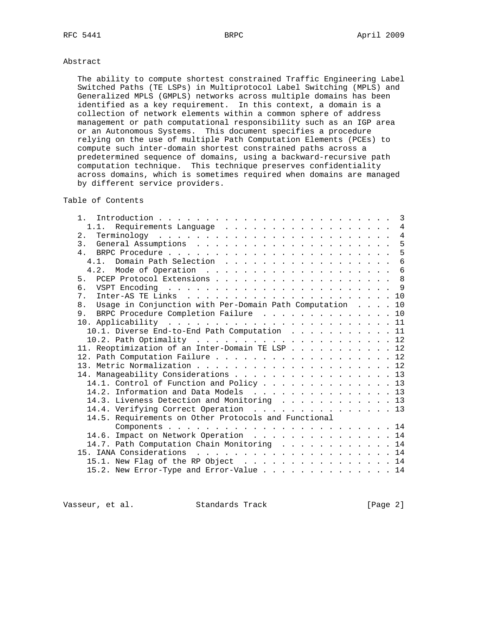## Abstract

 The ability to compute shortest constrained Traffic Engineering Label Switched Paths (TE LSPs) in Multiprotocol Label Switching (MPLS) and Generalized MPLS (GMPLS) networks across multiple domains has been identified as a key requirement. In this context, a domain is a collection of network elements within a common sphere of address management or path computational responsibility such as an IGP area or an Autonomous Systems. This document specifies a procedure relying on the use of multiple Path Computation Elements (PCEs) to compute such inter-domain shortest constrained paths across a predetermined sequence of domains, using a backward-recursive path computation technique. This technique preserves confidentiality across domains, which is sometimes required when domains are managed by different service providers.

# Table of Contents

| $\mathfrak{1}$ .                                            |  |                 |
|-------------------------------------------------------------|--|-----------------|
| 1.1. Requirements Language 4                                |  |                 |
|                                                             |  | $\overline{4}$  |
|                                                             |  | 5               |
|                                                             |  | 5               |
|                                                             |  | $6^{1}$         |
|                                                             |  | $6\overline{6}$ |
| 5. PCEP Protocol Extensions 8                               |  |                 |
|                                                             |  |                 |
|                                                             |  |                 |
| 8. Usage in Conjunction with Per-Domain Path Computation 10 |  |                 |
| 9. BRPC Procedure Completion Failure 10                     |  |                 |
|                                                             |  |                 |
| 10.1. Diverse End-to-End Path Computation 11                |  |                 |
|                                                             |  |                 |
| 11. Reoptimization of an Inter-Domain TE LSP 12             |  |                 |
| 12. Path Computation Failure 12                             |  |                 |
|                                                             |  |                 |
| 14. Manageability Considerations 13                         |  |                 |
| 14.1. Control of Function and Policy 13                     |  |                 |
| 14.2. Information and Data Models 13                        |  |                 |
| 14.3. Liveness Detection and Monitoring 13                  |  |                 |
| 14.4. Verifying Correct Operation 13                        |  |                 |
| 14.5. Requirements on Other Protocols and Functional        |  |                 |
|                                                             |  |                 |
| 14.6. Impact on Network Operation 14                        |  |                 |
|                                                             |  |                 |
| 14.7. Path Computation Chain Monitoring 14                  |  |                 |
|                                                             |  |                 |
| 15.1. New Flag of the RP Object 14                          |  |                 |
| 15.2. New Error-Type and Error-Value 14                     |  |                 |

Vasseur, et al. Standards Track [Page 2]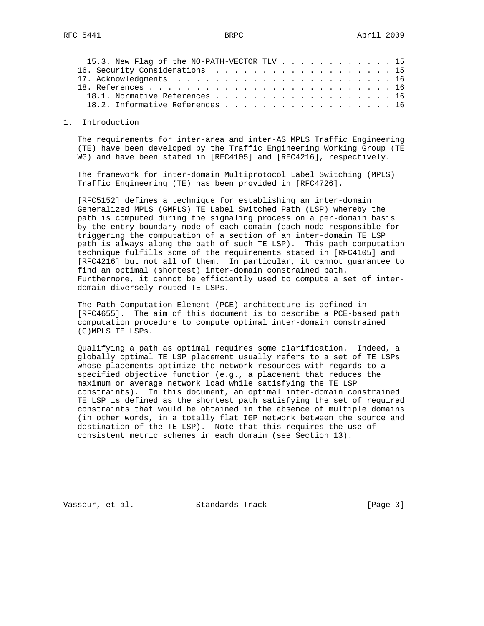| 15.3. New Flag of the NO-PATH-VECTOR TLV 15 |  |  |  |  |  |  |  |
|---------------------------------------------|--|--|--|--|--|--|--|
| 16. Security Considerations 15              |  |  |  |  |  |  |  |
|                                             |  |  |  |  |  |  |  |
|                                             |  |  |  |  |  |  |  |
| 18.1. Normative References 16               |  |  |  |  |  |  |  |
| 18.2. Informative References 16             |  |  |  |  |  |  |  |

#### 1. Introduction

 The requirements for inter-area and inter-AS MPLS Traffic Engineering (TE) have been developed by the Traffic Engineering Working Group (TE WG) and have been stated in [RFC4105] and [RFC4216], respectively.

 The framework for inter-domain Multiprotocol Label Switching (MPLS) Traffic Engineering (TE) has been provided in [RFC4726].

 [RFC5152] defines a technique for establishing an inter-domain Generalized MPLS (GMPLS) TE Label Switched Path (LSP) whereby the path is computed during the signaling process on a per-domain basis by the entry boundary node of each domain (each node responsible for triggering the computation of a section of an inter-domain TE LSP path is always along the path of such TE LSP). This path computation technique fulfills some of the requirements stated in [RFC4105] and [RFC4216] but not all of them. In particular, it cannot guarantee to find an optimal (shortest) inter-domain constrained path. Furthermore, it cannot be efficiently used to compute a set of inter domain diversely routed TE LSPs.

 The Path Computation Element (PCE) architecture is defined in [RFC4655]. The aim of this document is to describe a PCE-based path computation procedure to compute optimal inter-domain constrained (G)MPLS TE LSPs.

 Qualifying a path as optimal requires some clarification. Indeed, a globally optimal TE LSP placement usually refers to a set of TE LSPs whose placements optimize the network resources with regards to a specified objective function (e.g., a placement that reduces the maximum or average network load while satisfying the TE LSP constraints). In this document, an optimal inter-domain constrained TE LSP is defined as the shortest path satisfying the set of required constraints that would be obtained in the absence of multiple domains (in other words, in a totally flat IGP network between the source and destination of the TE LSP). Note that this requires the use of consistent metric schemes in each domain (see Section 13).

Vasseur, et al. Standards Track [Page 3]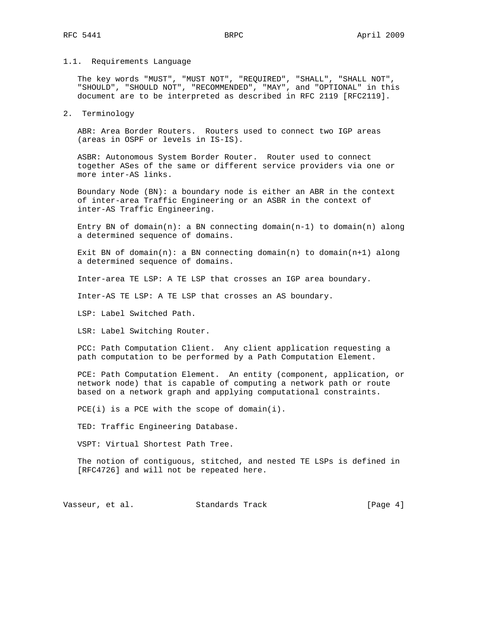## 1.1. Requirements Language

 The key words "MUST", "MUST NOT", "REQUIRED", "SHALL", "SHALL NOT", "SHOULD", "SHOULD NOT", "RECOMMENDED", "MAY", and "OPTIONAL" in this document are to be interpreted as described in RFC 2119 [RFC2119].

#### 2. Terminology

 ABR: Area Border Routers. Routers used to connect two IGP areas (areas in OSPF or levels in IS-IS).

 ASBR: Autonomous System Border Router. Router used to connect together ASes of the same or different service providers via one or more inter-AS links.

 Boundary Node (BN): a boundary node is either an ABR in the context of inter-area Traffic Engineering or an ASBR in the context of inter-AS Traffic Engineering.

Entry BN of  $domain(n)$ : a BN connecting  $domain(n-1)$  to  $domain(n)$  along a determined sequence of domains.

Exit BN of domain(n): a BN connecting domain(n) to domain(n+1) along a determined sequence of domains.

Inter-area TE LSP: A TE LSP that crosses an IGP area boundary.

Inter-AS TE LSP: A TE LSP that crosses an AS boundary.

LSP: Label Switched Path.

LSR: Label Switching Router.

 PCC: Path Computation Client. Any client application requesting a path computation to be performed by a Path Computation Element.

 PCE: Path Computation Element. An entity (component, application, or network node) that is capable of computing a network path or route based on a network graph and applying computational constraints.

PCE(i) is a PCE with the scope of domain(i).

TED: Traffic Engineering Database.

VSPT: Virtual Shortest Path Tree.

 The notion of contiguous, stitched, and nested TE LSPs is defined in [RFC4726] and will not be repeated here.

Vasseur, et al. Standards Track [Page 4]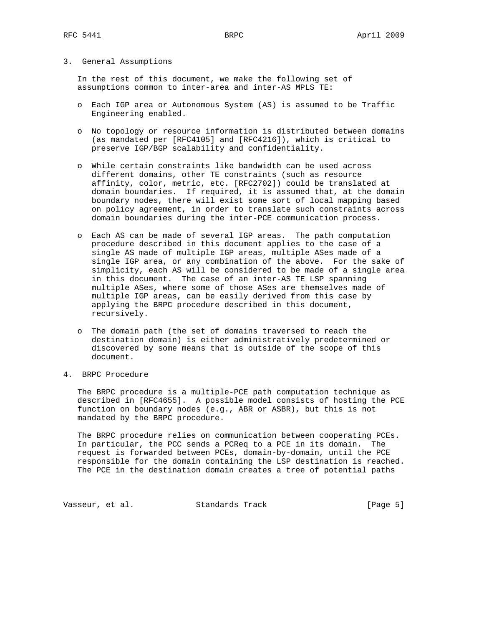## 3. General Assumptions

 In the rest of this document, we make the following set of assumptions common to inter-area and inter-AS MPLS TE:

- o Each IGP area or Autonomous System (AS) is assumed to be Traffic Engineering enabled.
- o No topology or resource information is distributed between domains (as mandated per [RFC4105] and [RFC4216]), which is critical to preserve IGP/BGP scalability and confidentiality.
- o While certain constraints like bandwidth can be used across different domains, other TE constraints (such as resource affinity, color, metric, etc. [RFC2702]) could be translated at domain boundaries. If required, it is assumed that, at the domain boundary nodes, there will exist some sort of local mapping based on policy agreement, in order to translate such constraints across domain boundaries during the inter-PCE communication process.
- o Each AS can be made of several IGP areas. The path computation procedure described in this document applies to the case of a single AS made of multiple IGP areas, multiple ASes made of a single IGP area, or any combination of the above. For the sake of simplicity, each AS will be considered to be made of a single area in this document. The case of an inter-AS TE LSP spanning multiple ASes, where some of those ASes are themselves made of multiple IGP areas, can be easily derived from this case by applying the BRPC procedure described in this document, recursively.
- o The domain path (the set of domains traversed to reach the destination domain) is either administratively predetermined or discovered by some means that is outside of the scope of this document.
- 4. BRPC Procedure

 The BRPC procedure is a multiple-PCE path computation technique as described in [RFC4655]. A possible model consists of hosting the PCE function on boundary nodes (e.g., ABR or ASBR), but this is not mandated by the BRPC procedure.

 The BRPC procedure relies on communication between cooperating PCEs. In particular, the PCC sends a PCReq to a PCE in its domain. The request is forwarded between PCEs, domain-by-domain, until the PCE responsible for the domain containing the LSP destination is reached. The PCE in the destination domain creates a tree of potential paths

Vasseur, et al. Standards Track [Page 5]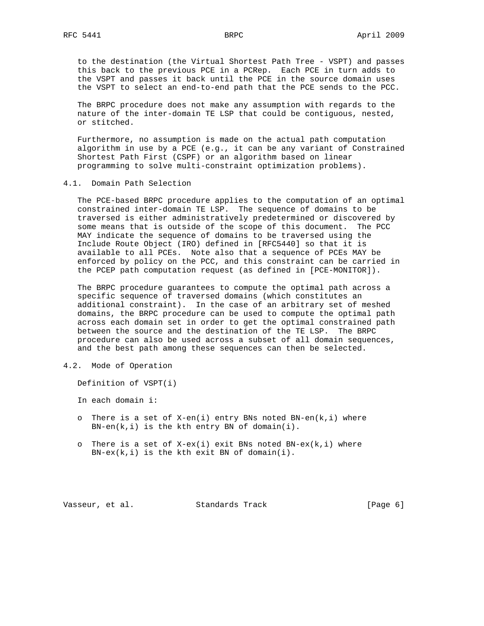to the destination (the Virtual Shortest Path Tree - VSPT) and passes this back to the previous PCE in a PCRep. Each PCE in turn adds to the VSPT and passes it back until the PCE in the source domain uses the VSPT to select an end-to-end path that the PCE sends to the PCC.

 The BRPC procedure does not make any assumption with regards to the nature of the inter-domain TE LSP that could be contiguous, nested, or stitched.

 Furthermore, no assumption is made on the actual path computation algorithm in use by a PCE (e.g., it can be any variant of Constrained Shortest Path First (CSPF) or an algorithm based on linear programming to solve multi-constraint optimization problems).

4.1. Domain Path Selection

 The PCE-based BRPC procedure applies to the computation of an optimal constrained inter-domain TE LSP. The sequence of domains to be traversed is either administratively predetermined or discovered by some means that is outside of the scope of this document. The PCC MAY indicate the sequence of domains to be traversed using the Include Route Object (IRO) defined in [RFC5440] so that it is available to all PCEs. Note also that a sequence of PCEs MAY be enforced by policy on the PCC, and this constraint can be carried in the PCEP path computation request (as defined in [PCE-MONITOR]).

 The BRPC procedure guarantees to compute the optimal path across a specific sequence of traversed domains (which constitutes an additional constraint). In the case of an arbitrary set of meshed domains, the BRPC procedure can be used to compute the optimal path across each domain set in order to get the optimal constrained path between the source and the destination of the TE LSP. The BRPC procedure can also be used across a subset of all domain sequences, and the best path among these sequences can then be selected.

## 4.2. Mode of Operation

Definition of VSPT(i)

In each domain i:

- o There is a set of  $X-en(i)$  entry BNs noted BN-en( $k,i$ ) where  $BN-en(k,i)$  is the kth entry BN of domain(i).
- o There is a set of  $X-ex(i)$  exit BNs noted BN-ex( $k,i$ ) where  $BN-ex(k,i)$  is the kth exit BN of domain(i).

Vasseur, et al. Standards Track [Page 6]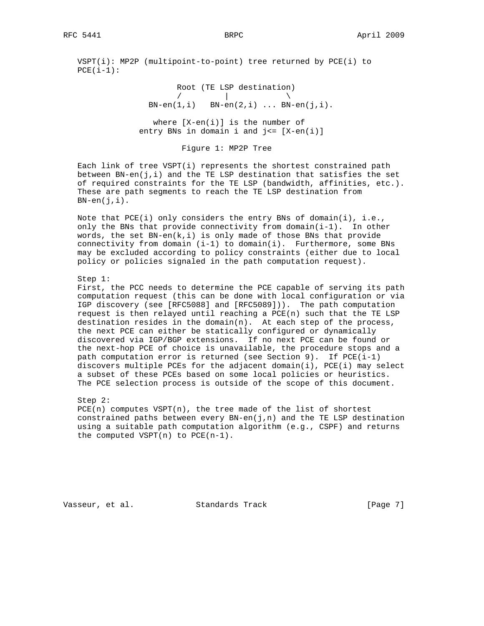VSPT(i): MP2P (multipoint-to-point) tree returned by PCE(i) to  $PCE(i-1):$ 

 Root (TE LSP destination)  $\sqrt{2}$   $\sqrt{2}$   $\sqrt{2}$   $\sqrt{2}$   $\sqrt{2}$   $\sqrt{2}$   $\sqrt{2}$   $\sqrt{2}$   $\sqrt{2}$   $\sqrt{2}$   $\sqrt{2}$   $\sqrt{2}$   $\sqrt{2}$   $\sqrt{2}$   $\sqrt{2}$   $\sqrt{2}$   $\sqrt{2}$   $\sqrt{2}$   $\sqrt{2}$   $\sqrt{2}$   $\sqrt{2}$   $\sqrt{2}$   $\sqrt{2}$   $\sqrt{2}$   $\sqrt{2}$   $\sqrt{2}$   $\sqrt{2}$   $\sqrt{2$  $BN-en(1,i)$   $BN-en(2,i)$  ...  $BN-en(j,i)$ . where  $[X-en(i)]$  is the number of entry BNs in domain i and  $j<= [X-en(i)]$ 

Figure 1: MP2P Tree

 Each link of tree VSPT(i) represents the shortest constrained path between  $BN-en(j,i)$  and the TE LSP destination that satisfies the set of required constraints for the TE LSP (bandwidth, affinities, etc.). These are path segments to reach the TE LSP destination from  $BN-en(j,i)$ .

Note that  $PCE(i)$  only considers the entry BNs of domain(i), i.e., only the BNs that provide connectivity from  $domain(i-1)$ . In other words, the set  $BN-en(k,i)$  is only made of those BNs that provide connectivity from domain (i-1) to domain(i). Furthermore, some BNs may be excluded according to policy constraints (either due to local policy or policies signaled in the path computation request).

Step 1:

 First, the PCC needs to determine the PCE capable of serving its path computation request (this can be done with local configuration or via IGP discovery (see [RFC5088] and [RFC5089])). The path computation request is then relayed until reaching a PCE(n) such that the TE LSP destination resides in the domain(n). At each step of the process, the next PCE can either be statically configured or dynamically discovered via IGP/BGP extensions. If no next PCE can be found or the next-hop PCE of choice is unavailable, the procedure stops and a path computation error is returned (see Section 9). If  $PCE(i-1)$  discovers multiple PCEs for the adjacent domain(i), PCE(i) may select a subset of these PCEs based on some local policies or heuristics. The PCE selection process is outside of the scope of this document.

Step 2:

 PCE(n) computes VSPT(n), the tree made of the list of shortest constrained paths between every  $BN-en(j,n)$  and the TE LSP destination using a suitable path computation algorithm (e.g., CSPF) and returns the computed VSPT $(n)$  to PCE $(n-1)$ .

Vasseur, et al. Standards Track [Page 7]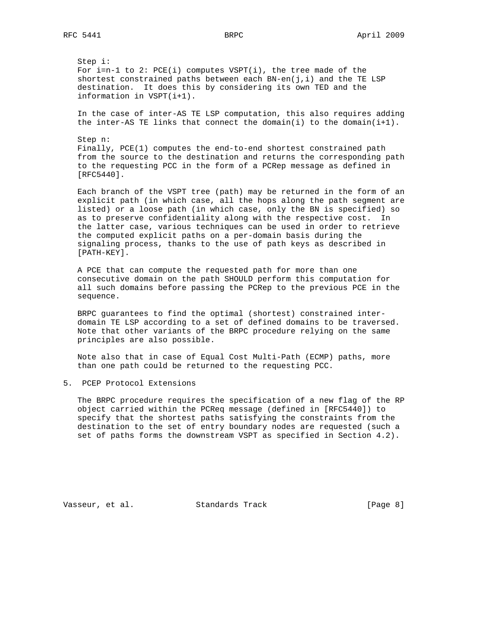Step i: For  $i=n-1$  to 2: PCE(i) computes VSPT(i), the tree made of the shortest constrained paths between each  $BN-en(j,i)$  and the TE LSP destination. It does this by considering its own TED and the information in VSPT(i+1).

 In the case of inter-AS TE LSP computation, this also requires adding the inter-AS TE links that connect the domain(i) to the domain(i+1).

 Step n: Finally, PCE(1) computes the end-to-end shortest constrained path from the source to the destination and returns the corresponding path to the requesting PCC in the form of a PCRep message as defined in [RFC5440].

 Each branch of the VSPT tree (path) may be returned in the form of an explicit path (in which case, all the hops along the path segment are listed) or a loose path (in which case, only the BN is specified) so as to preserve confidentiality along with the respective cost. In the latter case, various techniques can be used in order to retrieve the computed explicit paths on a per-domain basis during the signaling process, thanks to the use of path keys as described in [PATH-KEY].

 A PCE that can compute the requested path for more than one consecutive domain on the path SHOULD perform this computation for all such domains before passing the PCRep to the previous PCE in the sequence.

 BRPC guarantees to find the optimal (shortest) constrained inter domain TE LSP according to a set of defined domains to be traversed. Note that other variants of the BRPC procedure relying on the same principles are also possible.

 Note also that in case of Equal Cost Multi-Path (ECMP) paths, more than one path could be returned to the requesting PCC.

5. PCEP Protocol Extensions

 The BRPC procedure requires the specification of a new flag of the RP object carried within the PCReq message (defined in [RFC5440]) to specify that the shortest paths satisfying the constraints from the destination to the set of entry boundary nodes are requested (such a set of paths forms the downstream VSPT as specified in Section 4.2).

Vasseur, et al. Standards Track [Page 8]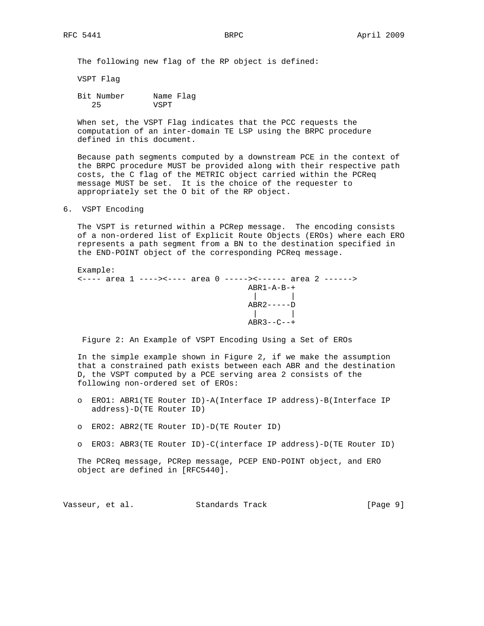The following new flag of the RP object is defined:

VSPT Flag

 Bit Number Name Flag 25 VSPT

 When set, the VSPT Flag indicates that the PCC requests the computation of an inter-domain TE LSP using the BRPC procedure defined in this document.

 Because path segments computed by a downstream PCE in the context of the BRPC procedure MUST be provided along with their respective path costs, the C flag of the METRIC object carried within the PCReq message MUST be set. It is the choice of the requester to appropriately set the O bit of the RP object.

6. VSPT Encoding

 The VSPT is returned within a PCRep message. The encoding consists of a non-ordered list of Explicit Route Objects (EROs) where each ERO represents a path segment from a BN to the destination specified in the END-POINT object of the corresponding PCReq message.

 Example: <---- area 1 ----><---- area 0 -----><------ area 2 ------> ABR1-A-B-+ | |  $ABR2----D$  | |  $ABR3--C--+$ 

Figure 2: An Example of VSPT Encoding Using a Set of EROs

 In the simple example shown in Figure 2, if we make the assumption that a constrained path exists between each ABR and the destination D, the VSPT computed by a PCE serving area 2 consists of the following non-ordered set of EROs:

- o ERO1: ABR1(TE Router ID)-A(Interface IP address)-B(Interface IP address)-D(TE Router ID)
- o ERO2: ABR2(TE Router ID)-D(TE Router ID)
- o ERO3: ABR3(TE Router ID)-C(interface IP address)-D(TE Router ID)

 The PCReq message, PCRep message, PCEP END-POINT object, and ERO object are defined in [RFC5440].

Vasseur, et al. Standards Track [Page 9]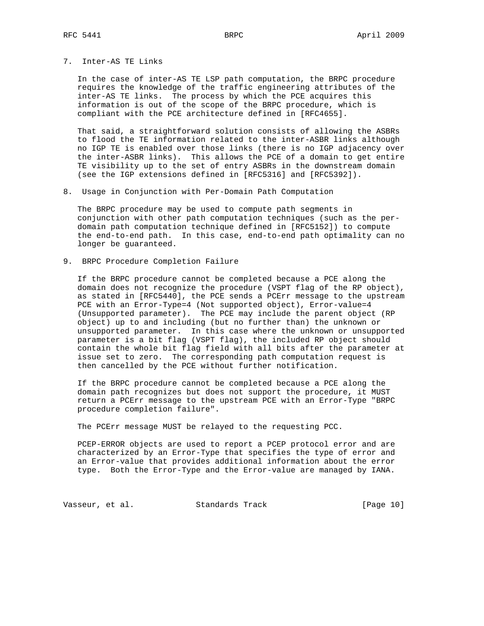7. Inter-AS TE Links

 In the case of inter-AS TE LSP path computation, the BRPC procedure requires the knowledge of the traffic engineering attributes of the inter-AS TE links. The process by which the PCE acquires this information is out of the scope of the BRPC procedure, which is compliant with the PCE architecture defined in [RFC4655].

 That said, a straightforward solution consists of allowing the ASBRs to flood the TE information related to the inter-ASBR links although no IGP TE is enabled over those links (there is no IGP adjacency over the inter-ASBR links). This allows the PCE of a domain to get entire TE visibility up to the set of entry ASBRs in the downstream domain (see the IGP extensions defined in [RFC5316] and [RFC5392]).

8. Usage in Conjunction with Per-Domain Path Computation

 The BRPC procedure may be used to compute path segments in conjunction with other path computation techniques (such as the per domain path computation technique defined in [RFC5152]) to compute the end-to-end path. In this case, end-to-end path optimality can no longer be guaranteed.

9. BRPC Procedure Completion Failure

 If the BRPC procedure cannot be completed because a PCE along the domain does not recognize the procedure (VSPT flag of the RP object), as stated in [RFC5440], the PCE sends a PCErr message to the upstream PCE with an Error-Type=4 (Not supported object), Error-value=4 (Unsupported parameter). The PCE may include the parent object (RP object) up to and including (but no further than) the unknown or unsupported parameter. In this case where the unknown or unsupported parameter is a bit flag (VSPT flag), the included RP object should contain the whole bit flag field with all bits after the parameter at issue set to zero. The corresponding path computation request is then cancelled by the PCE without further notification.

 If the BRPC procedure cannot be completed because a PCE along the domain path recognizes but does not support the procedure, it MUST return a PCErr message to the upstream PCE with an Error-Type "BRPC procedure completion failure".

The PCErr message MUST be relayed to the requesting PCC.

 PCEP-ERROR objects are used to report a PCEP protocol error and are characterized by an Error-Type that specifies the type of error and an Error-value that provides additional information about the error type. Both the Error-Type and the Error-value are managed by IANA.

Vasseur, et al. Standards Track [Page 10]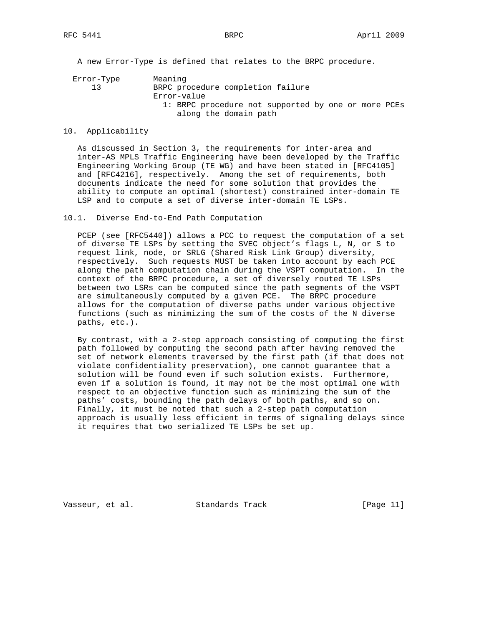A new Error-Type is defined that relates to the BRPC procedure.

 Error-Type Meaning 13 BRPC procedure completion failure Error-value 1: BRPC procedure not supported by one or more PCEs along the domain path

## 10. Applicability

 As discussed in Section 3, the requirements for inter-area and inter-AS MPLS Traffic Engineering have been developed by the Traffic Engineering Working Group (TE WG) and have been stated in [RFC4105] and [RFC4216], respectively. Among the set of requirements, both documents indicate the need for some solution that provides the ability to compute an optimal (shortest) constrained inter-domain TE LSP and to compute a set of diverse inter-domain TE LSPs.

#### 10.1. Diverse End-to-End Path Computation

 PCEP (see [RFC5440]) allows a PCC to request the computation of a set of diverse TE LSPs by setting the SVEC object's flags L, N, or S to request link, node, or SRLG (Shared Risk Link Group) diversity, respectively. Such requests MUST be taken into account by each PCE along the path computation chain during the VSPT computation. In the context of the BRPC procedure, a set of diversely routed TE LSPs between two LSRs can be computed since the path segments of the VSPT are simultaneously computed by a given PCE. The BRPC procedure allows for the computation of diverse paths under various objective functions (such as minimizing the sum of the costs of the N diverse paths, etc.).

 By contrast, with a 2-step approach consisting of computing the first path followed by computing the second path after having removed the set of network elements traversed by the first path (if that does not violate confidentiality preservation), one cannot guarantee that a solution will be found even if such solution exists. Furthermore, even if a solution is found, it may not be the most optimal one with respect to an objective function such as minimizing the sum of the paths' costs, bounding the path delays of both paths, and so on. Finally, it must be noted that such a 2-step path computation approach is usually less efficient in terms of signaling delays since it requires that two serialized TE LSPs be set up.

Vasseur, et al. Standards Track [Page 11]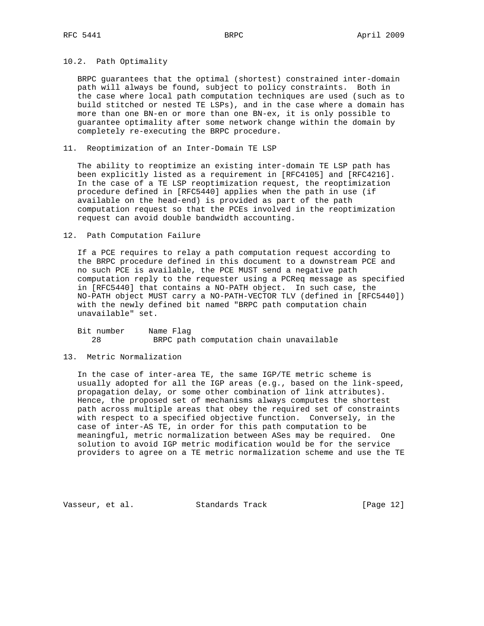## 10.2. Path Optimality

 BRPC guarantees that the optimal (shortest) constrained inter-domain path will always be found, subject to policy constraints. Both in the case where local path computation techniques are used (such as to build stitched or nested TE LSPs), and in the case where a domain has more than one BN-en or more than one BN-ex, it is only possible to guarantee optimality after some network change within the domain by completely re-executing the BRPC procedure.

11. Reoptimization of an Inter-Domain TE LSP

 The ability to reoptimize an existing inter-domain TE LSP path has been explicitly listed as a requirement in [RFC4105] and [RFC4216]. In the case of a TE LSP reoptimization request, the reoptimization procedure defined in [RFC5440] applies when the path in use (if available on the head-end) is provided as part of the path computation request so that the PCEs involved in the reoptimization request can avoid double bandwidth accounting.

#### 12. Path Computation Failure

 If a PCE requires to relay a path computation request according to the BRPC procedure defined in this document to a downstream PCE and no such PCE is available, the PCE MUST send a negative path computation reply to the requester using a PCReq message as specified in [RFC5440] that contains a NO-PATH object. In such case, the NO-PATH object MUST carry a NO-PATH-VECTOR TLV (defined in [RFC5440]) with the newly defined bit named "BRPC path computation chain unavailable" set.

| Bit number | Name Flag |                                         |  |
|------------|-----------|-----------------------------------------|--|
|            |           | BRPC path computation chain unavailable |  |

## 13. Metric Normalization

 In the case of inter-area TE, the same IGP/TE metric scheme is usually adopted for all the IGP areas (e.g., based on the link-speed, propagation delay, or some other combination of link attributes). Hence, the proposed set of mechanisms always computes the shortest path across multiple areas that obey the required set of constraints with respect to a specified objective function. Conversely, in the case of inter-AS TE, in order for this path computation to be meaningful, metric normalization between ASes may be required. One solution to avoid IGP metric modification would be for the service providers to agree on a TE metric normalization scheme and use the TE

Vasseur, et al. Standards Track [Page 12]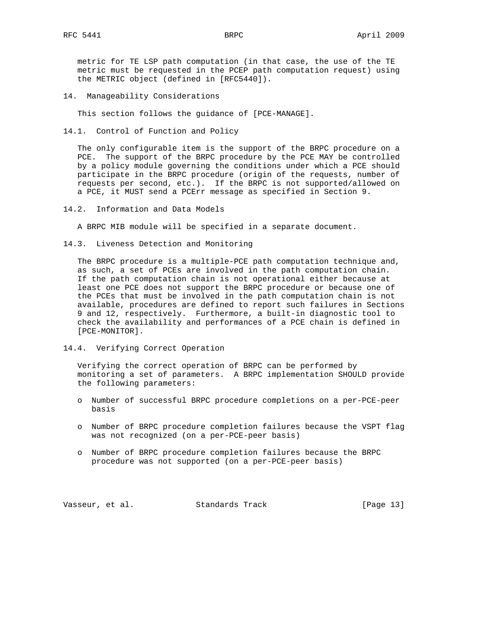metric for TE LSP path computation (in that case, the use of the TE metric must be requested in the PCEP path computation request) using the METRIC object (defined in [RFC5440]).

14. Manageability Considerations

This section follows the guidance of [PCE-MANAGE].

14.1. Control of Function and Policy

 The only configurable item is the support of the BRPC procedure on a PCE. The support of the BRPC procedure by the PCE MAY be controlled by a policy module governing the conditions under which a PCE should participate in the BRPC procedure (origin of the requests, number of requests per second, etc.). If the BRPC is not supported/allowed on a PCE, it MUST send a PCErr message as specified in Section 9.

14.2. Information and Data Models

A BRPC MIB module will be specified in a separate document.

14.3. Liveness Detection and Monitoring

 The BRPC procedure is a multiple-PCE path computation technique and, as such, a set of PCEs are involved in the path computation chain. If the path computation chain is not operational either because at least one PCE does not support the BRPC procedure or because one of the PCEs that must be involved in the path computation chain is not available, procedures are defined to report such failures in Sections 9 and 12, respectively. Furthermore, a built-in diagnostic tool to check the availability and performances of a PCE chain is defined in [PCE-MONITOR].

14.4. Verifying Correct Operation

 Verifying the correct operation of BRPC can be performed by monitoring a set of parameters. A BRPC implementation SHOULD provide the following parameters:

- o Number of successful BRPC procedure completions on a per-PCE-peer basis
- o Number of BRPC procedure completion failures because the VSPT flag was not recognized (on a per-PCE-peer basis)
- o Number of BRPC procedure completion failures because the BRPC procedure was not supported (on a per-PCE-peer basis)

Vasseur, et al. Standards Track [Page 13]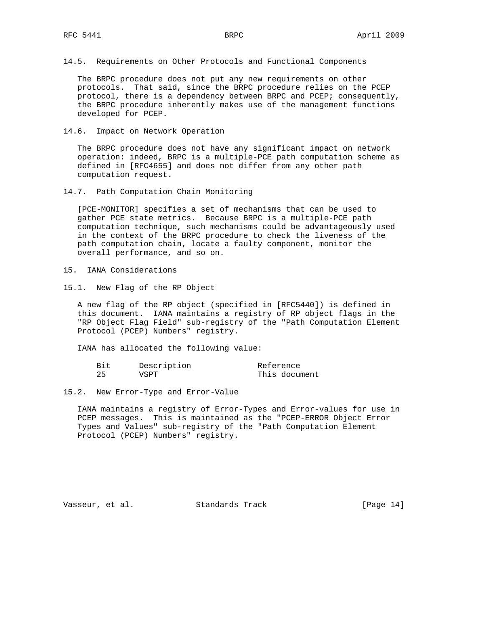14.5. Requirements on Other Protocols and Functional Components

 The BRPC procedure does not put any new requirements on other protocols. That said, since the BRPC procedure relies on the PCEP protocol, there is a dependency between BRPC and PCEP; consequently, the BRPC procedure inherently makes use of the management functions developed for PCEP.

14.6. Impact on Network Operation

 The BRPC procedure does not have any significant impact on network operation: indeed, BRPC is a multiple-PCE path computation scheme as defined in [RFC4655] and does not differ from any other path computation request.

14.7. Path Computation Chain Monitoring

 [PCE-MONITOR] specifies a set of mechanisms that can be used to gather PCE state metrics. Because BRPC is a multiple-PCE path computation technique, such mechanisms could be advantageously used in the context of the BRPC procedure to check the liveness of the path computation chain, locate a faulty component, monitor the overall performance, and so on.

- 15. IANA Considerations
- 15.1. New Flag of the RP Object

 A new flag of the RP object (specified in [RFC5440]) is defined in this document. IANA maintains a registry of RP object flags in the "RP Object Flag Field" sub-registry of the "Path Computation Element Protocol (PCEP) Numbers" registry.

IANA has allocated the following value:

| Bit | Description | Reference     |
|-----|-------------|---------------|
|     | VSPT        | This document |

15.2. New Error-Type and Error-Value

 IANA maintains a registry of Error-Types and Error-values for use in PCEP messages. This is maintained as the "PCEP-ERROR Object Error Types and Values" sub-registry of the "Path Computation Element Protocol (PCEP) Numbers" registry.

Vasseur, et al. Standards Track [Page 14]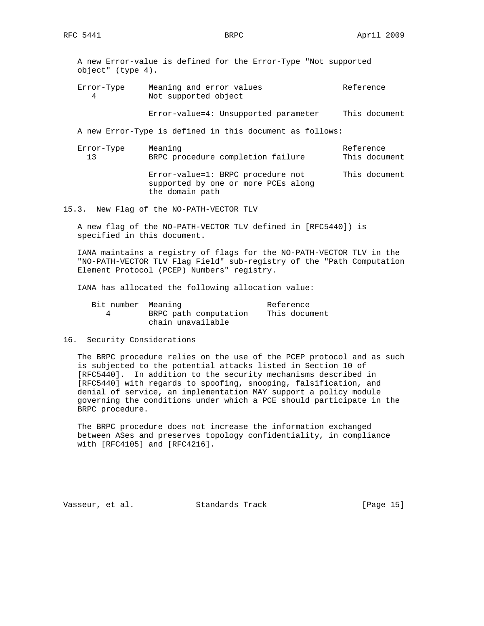A new Error-value is defined for the Error-Type "Not supported object" (type 4).

Error-Type Meaning and error values and the Reference 4 Not supported object

Error-value=4: Unsupported parameter This document

A new Error-Type is defined in this document as follows:

Error-Type Meaning Reference 13 BRPC procedure completion failure This document Error-value=1: BRPC procedure not This document supported by one or more PCEs along the domain path

15.3. New Flag of the NO-PATH-VECTOR TLV

 A new flag of the NO-PATH-VECTOR TLV defined in [RFC5440]) is specified in this document.

 IANA maintains a registry of flags for the NO-PATH-VECTOR TLV in the "NO-PATH-VECTOR TLV Flag Field" sub-registry of the "Path Computation Element Protocol (PCEP) Numbers" registry.

IANA has allocated the following allocation value:

| Bit number Meaning |                       | Reference     |
|--------------------|-----------------------|---------------|
|                    | BRPC path computation | This document |
|                    | chain unavailable     |               |

#### 16. Security Considerations

 The BRPC procedure relies on the use of the PCEP protocol and as such is subjected to the potential attacks listed in Section 10 of [RFC5440]. In addition to the security mechanisms described in [RFC5440] with regards to spoofing, snooping, falsification, and denial of service, an implementation MAY support a policy module governing the conditions under which a PCE should participate in the BRPC procedure.

 The BRPC procedure does not increase the information exchanged between ASes and preserves topology confidentiality, in compliance with [RFC4105] and [RFC4216].

Vasseur, et al. Standards Track [Page 15]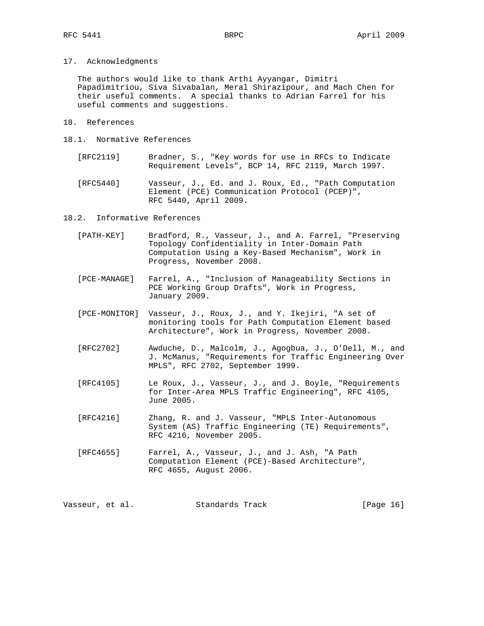17. Acknowledgments

 The authors would like to thank Arthi Ayyangar, Dimitri Papadimitriou, Siva Sivabalan, Meral Shirazipour, and Mach Chen for their useful comments. A special thanks to Adrian Farrel for his useful comments and suggestions.

- 18. References
- 18.1. Normative References
	- [RFC2119] Bradner, S., "Key words for use in RFCs to Indicate Requirement Levels", BCP 14, RFC 2119, March 1997.
	- [RFC5440] Vasseur, J., Ed. and J. Roux, Ed., "Path Computation Element (PCE) Communication Protocol (PCEP)", RFC 5440, April 2009.

18.2. Informative References

- [PATH-KEY] Bradford, R., Vasseur, J., and A. Farrel, "Preserving Topology Confidentiality in Inter-Domain Path Computation Using a Key-Based Mechanism", Work in Progress, November 2008.
- [PCE-MANAGE] Farrel, A., "Inclusion of Manageability Sections in PCE Working Group Drafts", Work in Progress, January 2009.
- [PCE-MONITOR] Vasseur, J., Roux, J., and Y. Ikejiri, "A set of monitoring tools for Path Computation Element based Architecture", Work in Progress, November 2008.
- [RFC2702] Awduche, D., Malcolm, J., Agogbua, J., O'Dell, M., and J. McManus, "Requirements for Traffic Engineering Over MPLS", RFC 2702, September 1999.
- [RFC4105] Le Roux, J., Vasseur, J., and J. Boyle, "Requirements for Inter-Area MPLS Traffic Engineering", RFC 4105, June 2005.
- [RFC4216] Zhang, R. and J. Vasseur, "MPLS Inter-Autonomous System (AS) Traffic Engineering (TE) Requirements", RFC 4216, November 2005.
- [RFC4655] Farrel, A., Vasseur, J., and J. Ash, "A Path Computation Element (PCE)-Based Architecture", RFC 4655, August 2006.

Vasseur, et al. Standards Track [Page 16]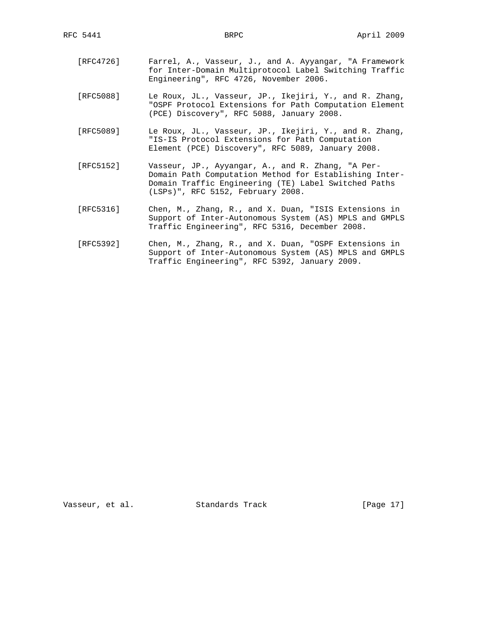- [RFC4726] Farrel, A., Vasseur, J., and A. Ayyangar, "A Framework for Inter-Domain Multiprotocol Label Switching Traffic Engineering", RFC 4726, November 2006.
- [RFC5088] Le Roux, JL., Vasseur, JP., Ikejiri, Y., and R. Zhang, "OSPF Protocol Extensions for Path Computation Element (PCE) Discovery", RFC 5088, January 2008.
- [RFC5089] Le Roux, JL., Vasseur, JP., Ikejiri, Y., and R. Zhang, "IS-IS Protocol Extensions for Path Computation Element (PCE) Discovery", RFC 5089, January 2008.
- [RFC5152] Vasseur, JP., Ayyangar, A., and R. Zhang, "A Per- Domain Path Computation Method for Establishing Inter- Domain Traffic Engineering (TE) Label Switched Paths (LSPs)", RFC 5152, February 2008.
- [RFC5316] Chen, M., Zhang, R., and X. Duan, "ISIS Extensions in Support of Inter-Autonomous System (AS) MPLS and GMPLS Traffic Engineering", RFC 5316, December 2008.
- [RFC5392] Chen, M., Zhang, R., and X. Duan, "OSPF Extensions in Support of Inter-Autonomous System (AS) MPLS and GMPLS Traffic Engineering", RFC 5392, January 2009.

Vasseur, et al. Standards Track [Page 17]